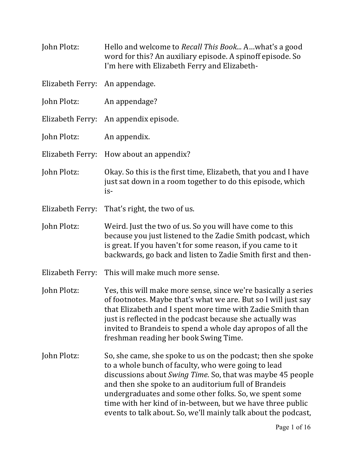- John Plotz: Hello and welcome to *Recall This Book...* A...what's a good word for this? An auxiliary episode. A spinoff episode. So I'm here with Elizabeth Ferry and Elizabeth-
- Elizabeth Ferry: An appendage.
- John Plotz: An appendage?
- Elizabeth Ferry: An appendix episode.
- John Plotz: An appendix.
- Elizabeth Ferry: How about an appendix?
- John Plotz: Okay. So this is the first time, Elizabeth, that you and I have just sat down in a room together to do this episode, which is-
- Elizabeth Ferry: That's right, the two of us.
- John Plotz: Weird. Just the two of us. So you will have come to this because you just listened to the Zadie Smith podcast, which is great. If you haven't for some reason, if you came to it backwards, go back and listen to Zadie Smith first and then-
- Elizabeth Ferry: This will make much more sense.
- John Plotz: Yes, this will make more sense, since we're basically a series of footnotes. Maybe that's what we are. But so I will just say that Elizabeth and I spent more time with Zadie Smith than just is reflected in the podcast because she actually was invited to Brandeis to spend a whole day apropos of all the freshman reading her book Swing Time.
- John Plotz: So, she came, she spoke to us on the podcast; then she spoke to a whole bunch of faculty, who were going to lead discussions about *Swing Time*. So, that was maybe 45 people and then she spoke to an auditorium full of Brandeis undergraduates and some other folks. So, we spent some time with her kind of in-between, but we have three public events to talk about. So, we'll mainly talk about the podcast,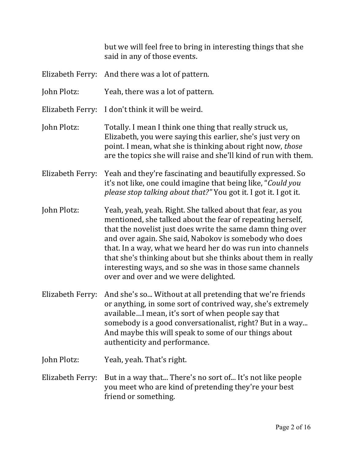but we will feel free to bring in interesting things that she said in any of those events.

- Elizabeth Ferry: And there was a lot of pattern.
- John Plotz: Yeah, there was a lot of pattern.
- Elizabeth Ferry: I don't think it will be weird.
- John Plotz: Totally. I mean I think one thing that really struck us, Elizabeth, you were saying this earlier, she's just very on point. I mean, what she is thinking about right now, *those* are the topics she will raise and she'll kind of run with them.
- Elizabeth Ferry: Yeah and they're fascinating and beautifully expressed. So it's not like, one could imagine that being like, "*Could you please stop talking about that?"* You got it. I got it. I got it.
- John Plotz: Yeah, yeah, yeah. Right. She talked about that fear, as you mentioned, she talked about the fear of repeating herself, that the novelist just does write the same damn thing over and over again. She said, Nabokov is somebody who does that. In a way, what we heard her do was run into channels that she's thinking about but she thinks about them in really interesting ways, and so she was in those same channels over and over and we were delighted.
- Elizabeth Ferry: And she's so... Without at all pretending that we're friends or anything, in some sort of contrived way, she's extremely available...I mean, it's sort of when people say that somebody is a good conversationalist, right? But in a way... And maybe this will speak to some of our things about authenticity and performance.
- John Plotz: Yeah, yeah. That's right.
- Elizabeth Ferry: But in a way that... There's no sort of... It's not like people you meet who are kind of pretending they're your best friend or something.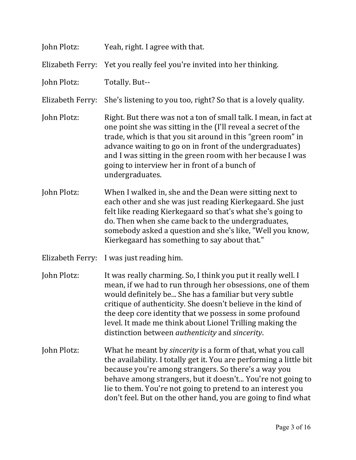| John Plotz:      | Yeah, right. I agree with that.                                                                                                                                                                                                                                                                                                                                                                                                                |
|------------------|------------------------------------------------------------------------------------------------------------------------------------------------------------------------------------------------------------------------------------------------------------------------------------------------------------------------------------------------------------------------------------------------------------------------------------------------|
| Elizabeth Ferry: | Yet you really feel you're invited into her thinking.                                                                                                                                                                                                                                                                                                                                                                                          |
| John Plotz:      | Totally. But--                                                                                                                                                                                                                                                                                                                                                                                                                                 |
| Elizabeth Ferry: | She's listening to you too, right? So that is a lovely quality.                                                                                                                                                                                                                                                                                                                                                                                |
| John Plotz:      | Right. But there was not a ton of small talk. I mean, in fact at<br>one point she was sitting in the (I'll reveal a secret of the<br>trade, which is that you sit around in this "green room" in<br>advance waiting to go on in front of the undergraduates)<br>and I was sitting in the green room with her because I was<br>going to interview her in front of a bunch of<br>undergraduates.                                                 |
| John Plotz:      | When I walked in, she and the Dean were sitting next to<br>each other and she was just reading Kierkegaard. She just<br>felt like reading Kierkegaard so that's what she's going to<br>do. Then when she came back to the undergraduates,<br>somebody asked a question and she's like, "Well you know,<br>Kierkegaard has something to say about that."                                                                                        |
| Elizabeth Ferry: | I was just reading him.                                                                                                                                                                                                                                                                                                                                                                                                                        |
| John Plotz:      | It was really charming. So, I think you put it really well. I<br>mean, if we had to run through her obsessions, one of them<br>would definitely be She has a familiar but very subtle<br>critique of authenticity. She doesn't believe in the kind of<br>the deep core identity that we possess in some profound<br>level. It made me think about Lionel Trilling making the<br>distinction between <i>authenticity</i> and <i>sincerity</i> . |
| John Plotz:      | What he meant by <i>sincerity</i> is a form of that, what you call<br>the availability. I totally get it. You are performing a little bit<br>because you're among strangers. So there's a way you<br>behave among strangers, but it doesn't You're not going to<br>lie to them. You're not going to pretend to an interest you<br>don't feel. But on the other hand, you are going to find what                                                |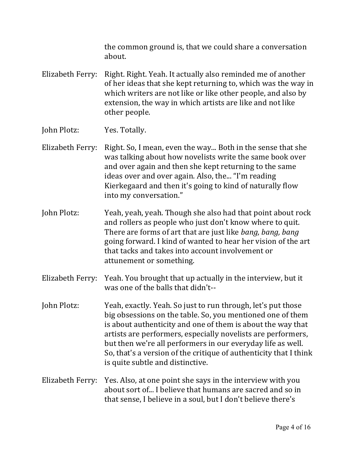the common ground is, that we could share a conversation about.

- Elizabeth Ferry: Right. Right. Yeah. It actually also reminded me of another of her ideas that she kept returning to, which was the way in which writers are not like or like other people, and also by extension, the way in which artists are like and not like other people.
- John Plotz: Yes. Totally.
- Elizabeth Ferry: Right. So, I mean, even the way... Both in the sense that she was talking about how novelists write the same book over and over again and then she kept returning to the same ideas over and over again. Also, the... "I'm reading Kierkegaard and then it's going to kind of naturally flow into my conversation."
- John Plotz: Yeah, yeah, yeah. Though she also had that point about rock and rollers as people who just don't know where to quit. There are forms of art that are just like *bang, bang, bang* going forward. I kind of wanted to hear her vision of the art that tacks and takes into account involvement or attunement or something.
- Elizabeth Ferry: Yeah. You brought that up actually in the interview, but it was one of the balls that didn't--
- John Plotz: Yeah, exactly. Yeah. So just to run through, let's put those big obsessions on the table. So, you mentioned one of them is about authenticity and one of them is about the way that artists are performers, especially novelists are performers, but then we're all performers in our everyday life as well. So, that's a version of the critique of authenticity that I think is quite subtle and distinctive.
- Elizabeth Ferry: Yes. Also, at one point she says in the interview with you about sort of... I believe that humans are sacred and so in that sense, I believe in a soul, but I don't believe there's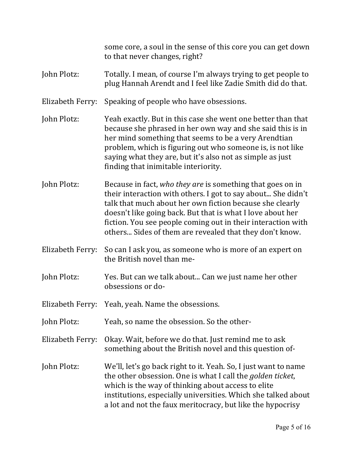some core, a soul in the sense of this core you can get down to that never changes, right?

- John Plotz: Totally. I mean, of course I'm always trying to get people to plug Hannah Arendt and I feel like Zadie Smith did do that.
- Elizabeth Ferry: Speaking of people who have obsessions.
- John Plotz: Yeah exactly. But in this case she went one better than that because she phrased in her own way and she said this is in her mind something that seems to be a very Arendtian problem, which is figuring out who someone is, is not like saying what they are, but it's also not as simple as just finding that inimitable interiority.
- John Plotz: Because in fact, *who they are* is something that goes on in their interaction with others. I got to say about... She didn't talk that much about her own fiction because she clearly doesn't like going back. But that is what I love about her fiction. You see people coming out in their interaction with others... Sides of them are revealed that they don't know.
- Elizabeth Ferry: So can I ask you, as someone who is more of an expert on the British novel than me-
- John Plotz: Yes. But can we talk about... Can we just name her other obsessions or do-
- Elizabeth Ferry: Yeah, yeah. Name the obsessions.
- John Plotz: Yeah, so name the obsession. So the other-
- Elizabeth Ferry: Okay. Wait, before we do that. Just remind me to ask something about the British novel and this question of-
- John Plotz: We'll, let's go back right to it. Yeah. So, I just want to name the other obsession. One is what I call the *golden ticket*, which is the way of thinking about access to elite institutions, especially universities. Which she talked about a lot and not the faux meritocracy, but like the hypocrisy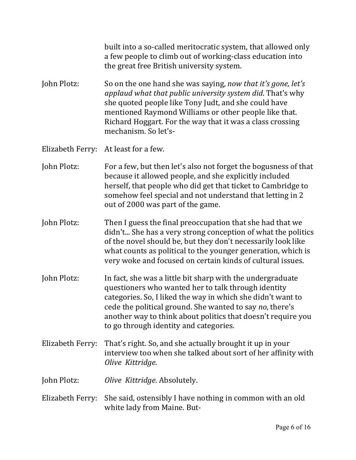built into a so-called meritocratic system, that allowed only a few people to climb out of working-class education into the great free British university system.

John Plotz: So on the one hand she was saying, *now that it's gone, let's applaud* what that public university system did. That's why she quoted people like Tony Judt, and she could have mentioned Raymond Williams or other people like that. Richard Hoggart. For the way that it was a class crossing mechanism. So let's-

Elizabeth Ferry: At least for a few.

- John Plotz: For a few, but then let's also not forget the bogusness of that because it allowed people, and she explicitly included herself, that people who did get that ticket to Cambridge to somehow feel special and not understand that letting in 2 out of 2000 was part of the game.
- John Plotz: Then I guess the final preoccupation that she had that we didn't... She has a very strong conception of what the politics of the novel should be, but they don't necessarily look like what counts as political to the younger generation, which is very woke and focused on certain kinds of cultural issues.
- John Plotz: In fact, she was a little bit sharp with the undergraduate questioners who wanted her to talk through identity categories. So, I liked the way in which she didn't want to cede the political ground. She wanted to say *no*, there's another way to think about politics that doesn't require you to go through identity and categories.
- Elizabeth Ferry: That's right. So, and she actually brought it up in your interview too when she talked about sort of her affinity with *Olive Kittridge*.

John Plotz: *Olive Kittridge*. Absolutely.

Elizabeth Ferry: She said, ostensibly I have nothing in common with an old white lady from Maine. But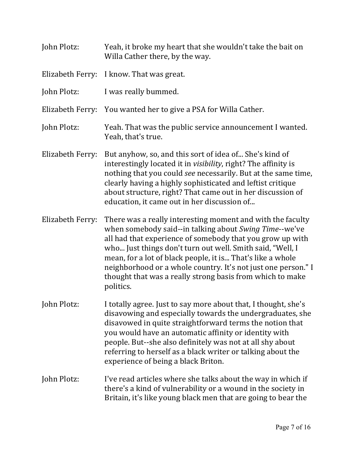John Plotz: Yeah, it broke my heart that she wouldn't take the bait on Willa Cather there, by the way. Elizabeth Ferry: I know. That was great. John Plotz: I was really bummed. Elizabeth Ferry: You wanted her to give a PSA for Willa Cather. John Plotz: Yeah. That was the public service announcement I wanted. Yeah, that's true. Elizabeth Ferry: But anyhow, so, and this sort of idea of... She's kind of interestingly located it in *visibility*, right? The affinity is nothing that you could *see* necessarily. But at the same time, clearly having a highly sophisticated and leftist critique about structure, right? That came out in her discussion of education, it came out in her discussion of... Elizabeth Ferry: There was a really interesting moment and with the faculty when somebody said--in talking about *Swing Time*--we've all had that experience of somebody that you grow up with who... Just things don't turn out well. Smith said, "Well, I mean, for a lot of black people, it is... That's like a whole neighborhood or a whole country. It's not just one person." I thought that was a really strong basis from which to make politics. John Plotz: I totally agree. Just to say more about that, I thought, she's disavowing and especially towards the undergraduates, she disavowed in quite straightforward terms the notion that you would have an automatic affinity or identity with people. But--she also definitely was not at all shy about referring to herself as a black writer or talking about the experience of being a black Briton. John Plotz: I've read articles where she talks about the way in which if there's a kind of vulnerability or a wound in the society in Britain, it's like young black men that are going to bear the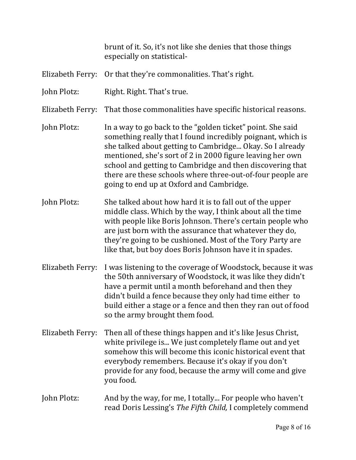brunt of it. So, it's not like she denies that those things especially on statistical-

- Elizabeth Ferry: Or that they're commonalities. That's right.
- John Plotz: Right. Right. That's true.
- Elizabeth Ferry: That those commonalities have specific historical reasons.
- John Plotz: In a way to go back to the "golden ticket" point. She said something really that I found incredibly poignant, which is she talked about getting to Cambridge... Okay. So I already mentioned, she's sort of 2 in 2000 figure leaving her own school and getting to Cambridge and then discovering that there are these schools where three-out-of-four people are going to end up at Oxford and Cambridge.
- John Plotz: She talked about how hard it is to fall out of the upper middle class. Which by the way, I think about all the time with people like Boris Johnson. There's certain people who are just born with the assurance that whatever they do, they're going to be cushioned. Most of the Tory Party are like that, but boy does Boris Johnson have it in spades.
- Elizabeth Ferry: I was listening to the coverage of Woodstock, because it was the 50th anniversary of Woodstock, it was like they didn't have a permit until a month beforehand and then they didn't build a fence because they only had time either to build either a stage or a fence and then they ran out of food so the army brought them food.
- Elizabeth Ferry: Then all of these things happen and it's like Jesus Christ, white privilege is... We just completely flame out and yet somehow this will become this iconic historical event that everybody remembers. Because it's okay if you don't provide for any food, because the army will come and give you food.
- John Plotz: And by the way, for me, I totally... For people who haven't read Doris Lessing's The Fifth Child, I completely commend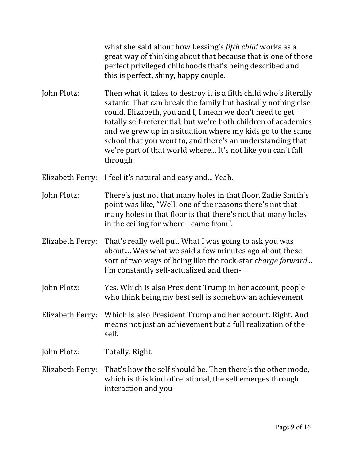what she said about how Lessing's *fifth child* works as a great way of thinking about that because that is one of those perfect privileged childhoods that's being described and this is perfect, shiny, happy couple.

John Plotz: Then what it takes to destroy it is a fifth child who's literally satanic. That can break the family but basically nothing else could. Elizabeth, you and I, I mean we don't need to get totally self-referential, but we're both children of academics and we grew up in a situation where my kids go to the same school that you went to, and there's an understanding that we're part of that world where... It's not like you can't fall through.

Elizabeth Ferry: I feel it's natural and easy and... Yeah.

John Plotz: There's just not that many holes in that floor. Zadie Smith's point was like, "Well, one of the reasons there's not that many holes in that floor is that there's not that many holes in the ceiling for where I came from".

Elizabeth Ferry: That's really well put. What I was going to ask you was about.... Was what we said a few minutes ago about these sort of two ways of being like the rock-star *charge forward...* I'm constantly self-actualized and then-

John Plotz: Yes. Which is also President Trump in her account, people who think being my best self is somehow an achievement.

Elizabeth Ferry: Which is also President Trump and her account. Right. And means not just an achievement but a full realization of the self.

John Plotz: Totally. Right.

Elizabeth Ferry: That's how the self should be. Then there's the other mode, which is this kind of relational, the self emerges through interaction and you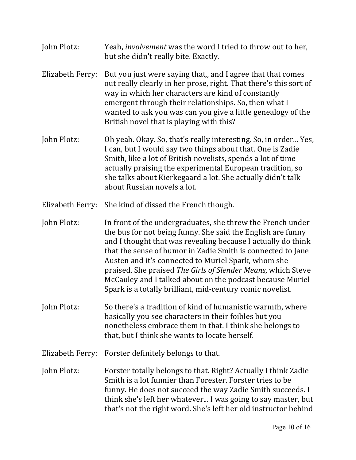John Plotz: Yeah, *involvement* was the word I tried to throw out to her, but she didn't really bite. Exactly. Elizabeth Ferry: But you just were saying that,, and I agree that that comes out really clearly in her prose, right. That there's this sort of way in which her characters are kind of constantly emergent through their relationships. So, then what I wanted to ask you was can you give a little genealogy of the British novel that is playing with this? John Plotz: Oh yeah. Okay. So, that's really interesting. So, in order... Yes, I can, but I would say two things about that. One is Zadie Smith, like a lot of British novelists, spends a lot of time actually praising the experimental European tradition, so she talks about Kierkegaard a lot. She actually didn't talk about Russian novels a lot. Elizabeth Ferry: She kind of dissed the French though. John Plotz: In front of the undergraduates, she threw the French under the bus for not being funny. She said the English are funny and I thought that was revealing because I actually do think that the sense of humor in Zadie Smith is connected to Jane Austen and it's connected to Muriel Spark, whom she praised. She praised *The Girls of Slender Means*, which Steve McCauley and I talked about on the podcast because Muriel Spark is a totally brilliant, mid-century comic novelist. John Plotz: So there's a tradition of kind of humanistic warmth, where basically you see characters in their foibles but you nonetheless embrace them in that. I think she belongs to that, but I think she wants to locate herself. Elizabeth Ferry: Forster definitely belongs to that.

John Plotz: Forster totally belongs to that. Right? Actually I think Zadie Smith is a lot funnier than Forester. Forster tries to be funny. He does not succeed the way Zadie Smith succeeds. I think she's left her whatever... I was going to say master, but that's not the right word. She's left her old instructor behind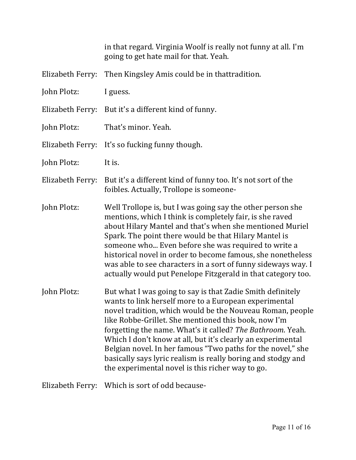in that regard. Virginia Woolf is really not funny at all. I'm going to get hate mail for that. Yeah.

- Elizabeth Ferry: Then Kingsley Amis could be in thattradition.
- John Plotz: I guess.
- Elizabeth Ferry: But it's a different kind of funny.
- John Plotz: That's minor. Yeah.
- Elizabeth Ferry: It's so fucking funny though.
- John Plotz: It is.
- Elizabeth Ferry: But it's a different kind of funny too. It's not sort of the foibles. Actually, Trollope is someone-
- John Plotz: Well Trollope is, but I was going say the other person she mentions, which I think is completely fair, is she raved about Hilary Mantel and that's when she mentioned Muriel Spark. The point there would be that Hilary Mantel is someone who... Even before she was required to write a historical novel in order to become famous, she nonetheless was able to see characters in a sort of funny sideways way. I actually would put Penelope Fitzgerald in that category too.
- John Plotz: But what I was going to say is that Zadie Smith definitely wants to link herself more to a European experimental novel tradition, which would be the Nouveau Roman, people like Robbe-Grillet. She mentioned this book, now I'm forgetting the name. What's it called? The Bathroom. Yeah. Which I don't know at all, but it's clearly an experimental Belgian novel. In her famous "Two paths for the novel," she basically says lyric realism is really boring and stodgy and the experimental novel is this richer way to go.

Elizabeth Ferry: Which is sort of odd because-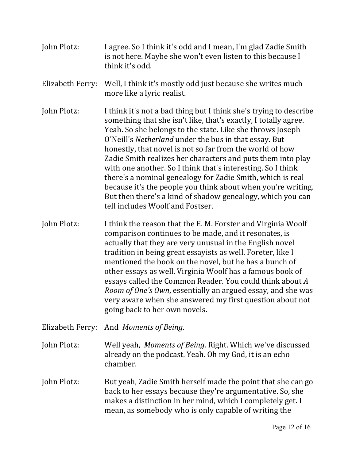- John Plotz: I agree. So I think it's odd and I mean, I'm glad Zadie Smith is not here. Maybe she won't even listen to this because I think it's odd.
- Elizabeth Ferry: Well, I think it's mostly odd just because she writes much more like a lyric realist.
- John Plotz: I think it's not a bad thing but I think she's trying to describe something that she isn't like, that's exactly, I totally agree. Yeah. So she belongs to the state. Like she throws Joseph O'Neill's *Netherland* under the bus in that essay. But honestly, that novel is not so far from the world of how Zadie Smith realizes her characters and puts them into play with one another. So I think that's interesting. So I think there's a nominal genealogy for Zadie Smith, which is real because it's the people you think about when you're writing. But then there's a kind of shadow genealogy, which you can tell includes Woolf and Fostser.
- John Plotz: I think the reason that the E. M. Forster and Virginia Woolf comparison continues to be made, and it resonates, is actually that they are very unusual in the English novel tradition in being great essayists as well. Foreter, like I mentioned the book on the novel, but he has a bunch of other essays as well. Virginia Woolf has a famous book of essays called the Common Reader. You could think about A *Room of One's Own*, essentially an argued essay, and she was very aware when she answered my first question about not going back to her own novels.
- Elizabeth Ferry: And *Moments of Being*.
- John Plotz: Well yeah, *Moments of Being*. Right. Which we've discussed already on the podcast. Yeah. Oh my God, it is an echo chamber.
- John Plotz: But yeah, Zadie Smith herself made the point that she can go back to her essays because they're argumentative. So, she makes a distinction in her mind, which I completely get. I mean, as somebody who is only capable of writing the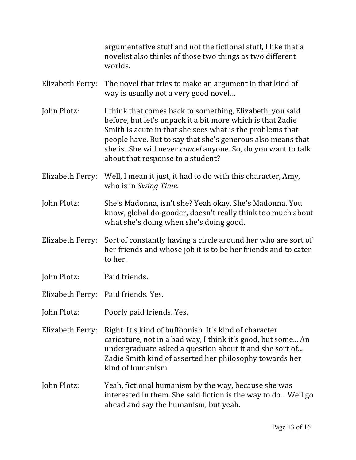argumentative stuff and not the fictional stuff, I like that a novelist also thinks of those two things as two different worlds.

- Elizabeth Ferry: The novel that tries to make an argument in that kind of way is usually not a very good novel...
- John Plotz: I think that comes back to something, Elizabeth, you said before, but let's unpack it a bit more which is that Zadie Smith is acute in that she sees what is the problems that people have. But to say that she's generous also means that she is...She will never *cancel* anyone. So, do you want to talk about that response to a student?
- Elizabeth Ferry: Well, I mean it just, it had to do with this character, Amy, who is in *Swing Time*.
- John Plotz: She's Madonna, isn't she? Yeah okay. She's Madonna. You know, global do-gooder, doesn't really think too much about what she's doing when she's doing good.
- Elizabeth Ferry: Sort of constantly having a circle around her who are sort of her friends and whose job it is to be her friends and to cater to her.
- John Plotz: Paid friends.
- Elizabeth Ferry: Paid friends. Yes.
- John Plotz: Poorly paid friends. Yes.
- Elizabeth Ferry: Right. It's kind of buffoonish. It's kind of character caricature, not in a bad way, I think it's good, but some... An undergraduate asked a question about it and she sort of... Zadie Smith kind of asserted her philosophy towards her kind of humanism.
- John Plotz: Yeah, fictional humanism by the way, because she was interested in them. She said fiction is the way to do... Well go ahead and say the humanism, but yeah.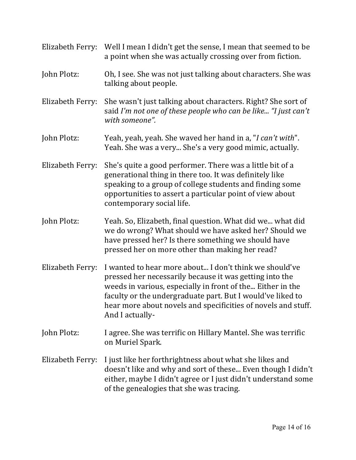| Elizabeth Ferry: | Well I mean I didn't get the sense, I mean that seemed to be<br>a point when she was actually crossing over from fiction.                                                                                                                                                                                                         |
|------------------|-----------------------------------------------------------------------------------------------------------------------------------------------------------------------------------------------------------------------------------------------------------------------------------------------------------------------------------|
| John Plotz:      | Oh, I see. She was not just talking about characters. She was<br>talking about people.                                                                                                                                                                                                                                            |
| Elizabeth Ferry: | She wasn't just talking about characters. Right? She sort of<br>said I'm not one of these people who can be like "I just can't<br>with someone".                                                                                                                                                                                  |
| John Plotz:      | Yeah, yeah, yeah. She waved her hand in a, "I can't with".<br>Yeah. She was a very She's a very good mimic, actually.                                                                                                                                                                                                             |
| Elizabeth Ferry: | She's quite a good performer. There was a little bit of a<br>generational thing in there too. It was definitely like<br>speaking to a group of college students and finding some<br>opportunities to assert a particular point of view about<br>contemporary social life.                                                         |
| John Plotz:      | Yeah. So, Elizabeth, final question. What did we what did<br>we do wrong? What should we have asked her? Should we<br>have pressed her? Is there something we should have<br>pressed her on more other than making her read?                                                                                                      |
| Elizabeth Ferry: | I wanted to hear more about I don't think we should've<br>pressed her necessarily because it was getting into the<br>weeds in various, especially in front of the Either in the<br>faculty or the undergraduate part. But I would've liked to<br>hear more about novels and specificities of novels and stuff.<br>And I actually- |
| John Plotz:      | I agree. She was terrific on Hillary Mantel. She was terrific<br>on Muriel Spark.                                                                                                                                                                                                                                                 |
| Elizabeth Ferry: | I just like her forthrightness about what she likes and<br>doesn't like and why and sort of these Even though I didn't<br>either, maybe I didn't agree or I just didn't understand some<br>of the genealogies that she was tracing.                                                                                               |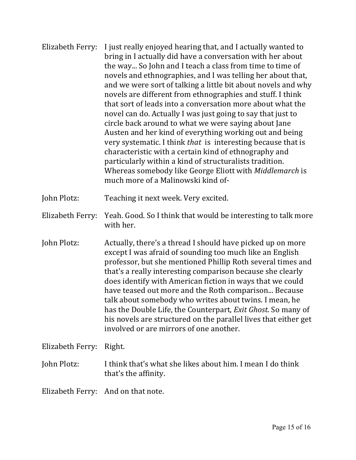| Elizabeth Ferry: | I just really enjoyed hearing that, and I actually wanted to<br>bring in I actually did have a conversation with her about<br>the way So John and I teach a class from time to time of<br>novels and ethnographies, and I was telling her about that,<br>and we were sort of talking a little bit about novels and why<br>novels are different from ethnographies and stuff. I think<br>that sort of leads into a conversation more about what the<br>novel can do. Actually I was just going to say that just to<br>circle back around to what we were saying about Jane<br>Austen and her kind of everything working out and being<br>very systematic. I think that is interesting because that is<br>characteristic with a certain kind of ethnography and<br>particularly within a kind of structuralists tradition.<br>Whereas somebody like George Eliott with Middlemarch is<br>much more of a Malinowski kind of- |
|------------------|---------------------------------------------------------------------------------------------------------------------------------------------------------------------------------------------------------------------------------------------------------------------------------------------------------------------------------------------------------------------------------------------------------------------------------------------------------------------------------------------------------------------------------------------------------------------------------------------------------------------------------------------------------------------------------------------------------------------------------------------------------------------------------------------------------------------------------------------------------------------------------------------------------------------------|
| John Plotz:      | Teaching it next week. Very excited.                                                                                                                                                                                                                                                                                                                                                                                                                                                                                                                                                                                                                                                                                                                                                                                                                                                                                      |
| Elizabeth Ferry: | Yeah. Good. So I think that would be interesting to talk more<br>with her.                                                                                                                                                                                                                                                                                                                                                                                                                                                                                                                                                                                                                                                                                                                                                                                                                                                |
| John Plotz:      | Actually, there's a thread I should have picked up on more<br>except I was afraid of sounding too much like an English<br>professor, but she mentioned Phillip Roth several times and<br>that's a really interesting comparison because she clearly<br>does identify with American fiction in ways that we could<br>have teased out more and the Roth comparison Because<br>talk about somebody who writes about twins. I mean, he<br>has the Double Life the Counterport Evit Chest Se many of                                                                                                                                                                                                                                                                                                                                                                                                                           |

has the Double Life, the Counterpart, *Exit Ghost*. So many of his novels are structured on the parallel lives that either get involved or are mirrors of one another.

Elizabeth Ferry: Right.

## John Plotz: I think that's what she likes about him. I mean I do think that's the affinity.

Elizabeth Ferry: And on that note.